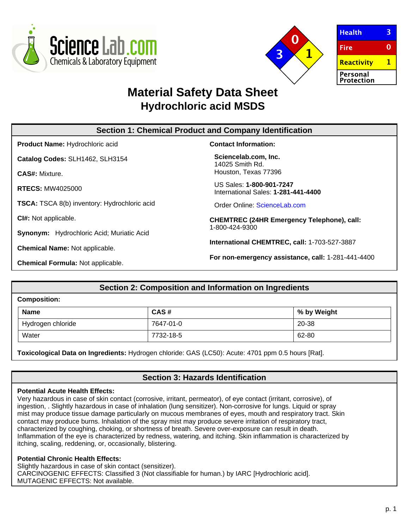



 $\overline{3}$ **Health Fire**  $\mathbf{0}$ **Reactivity**  $\mathbf{1}$ Personal **Protection** 

# **Material Safety Data Sheet Hydrochloric acid MSDS**

| <b>Section 1: Chemical Product and Company Identification</b> |                                                                     |  |
|---------------------------------------------------------------|---------------------------------------------------------------------|--|
| <b>Product Name: Hydrochloric acid</b>                        | <b>Contact Information:</b>                                         |  |
| Catalog Codes: SLH1462, SLH3154                               | Sciencelab.com, Inc.<br>14025 Smith Rd.                             |  |
| <b>CAS#: Mixture.</b>                                         | Houston, Texas 77396                                                |  |
| <b>RTECS: MW4025000</b>                                       | US Sales: 1-800-901-7247<br>International Sales: 1-281-441-4400     |  |
| <b>TSCA:</b> TSCA 8(b) inventory: Hydrochloric acid           | Order Online: ScienceLab.com                                        |  |
| Cl#: Not applicable.                                          | <b>CHEMTREC (24HR Emergency Telephone), call:</b><br>1-800-424-9300 |  |
| <b>Synonym:</b> Hydrochloric Acid; Muriatic Acid              |                                                                     |  |
| <b>Chemical Name: Not applicable.</b>                         | International CHEMTREC, call: 1-703-527-3887                        |  |
| <b>Chemical Formula: Not applicable.</b>                      | For non-emergency assistance, call: 1-281-441-4400                  |  |

# **Section 2: Composition and Information on Ingredients**

| <b>Composition:</b> |           |             |
|---------------------|-----------|-------------|
| <b>Name</b>         | CAS#      | % by Weight |
| Hydrogen chloride   | 7647-01-0 | 20-38       |
| Water               | 7732-18-5 | 62-80       |

**Toxicological Data on Ingredients:** Hydrogen chloride: GAS (LC50): Acute: 4701 ppm 0.5 hours [Rat].

# **Section 3: Hazards Identification**

## **Potential Acute Health Effects:**

Very hazardous in case of skin contact (corrosive, irritant, permeator), of eye contact (irritant, corrosive), of ingestion, . Slightly hazardous in case of inhalation (lung sensitizer). Non-corrosive for lungs. Liquid or spray mist may produce tissue damage particularly on mucous membranes of eyes, mouth and respiratory tract. Skin contact may produce burns. Inhalation of the spray mist may produce severe irritation of respiratory tract, characterized by coughing, choking, or shortness of breath. Severe over-exposure can result in death. Inflammation of the eye is characterized by redness, watering, and itching. Skin inflammation is characterized by itching, scaling, reddening, or, occasionally, blistering.

## **Potential Chronic Health Effects:**

Slightly hazardous in case of skin contact (sensitizer). CARCINOGENIC EFFECTS: Classified 3 (Not classifiable for human.) by IARC [Hydrochloric acid]. MUTAGENIC EFFECTS: Not available.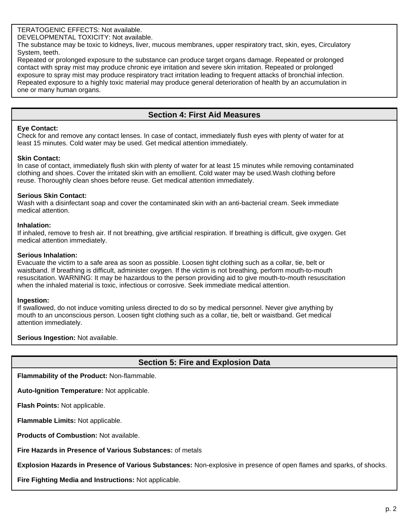# TERATOGENIC EFFECTS: Not available.

DEVELOPMENTAL TOXICITY: Not available.

The substance may be toxic to kidneys, liver, mucous membranes, upper respiratory tract, skin, eyes, Circulatory System, teeth.

Repeated or prolonged exposure to the substance can produce target organs damage. Repeated or prolonged contact with spray mist may produce chronic eye irritation and severe skin irritation. Repeated or prolonged exposure to spray mist may produce respiratory tract irritation leading to frequent attacks of bronchial infection. Repeated exposure to a highly toxic material may produce general deterioration of health by an accumulation in one or many human organs.

# **Section 4: First Aid Measures**

#### **Eye Contact:**

Check for and remove any contact lenses. In case of contact, immediately flush eyes with plenty of water for at least 15 minutes. Cold water may be used. Get medical attention immediately.

#### **Skin Contact:**

In case of contact, immediately flush skin with plenty of water for at least 15 minutes while removing contaminated clothing and shoes. Cover the irritated skin with an emollient. Cold water may be used.Wash clothing before reuse. Thoroughly clean shoes before reuse. Get medical attention immediately.

#### **Serious Skin Contact:**

Wash with a disinfectant soap and cover the contaminated skin with an anti-bacterial cream. Seek immediate medical attention.

#### **Inhalation:**

If inhaled, remove to fresh air. If not breathing, give artificial respiration. If breathing is difficult, give oxygen. Get medical attention immediately.

#### **Serious Inhalation:**

Evacuate the victim to a safe area as soon as possible. Loosen tight clothing such as a collar, tie, belt or waistband. If breathing is difficult, administer oxygen. If the victim is not breathing, perform mouth-to-mouth resuscitation. WARNING: It may be hazardous to the person providing aid to give mouth-to-mouth resuscitation when the inhaled material is toxic, infectious or corrosive. Seek immediate medical attention.

#### **Ingestion:**

If swallowed, do not induce vomiting unless directed to do so by medical personnel. Never give anything by mouth to an unconscious person. Loosen tight clothing such as a collar, tie, belt or waistband. Get medical attention immediately.

**Serious Ingestion:** Not available.

# **Section 5: Fire and Explosion Data**

**Flammability of the Product:** Non-flammable.

**Auto-Ignition Temperature:** Not applicable.

**Flash Points:** Not applicable.

**Flammable Limits:** Not applicable.

**Products of Combustion:** Not available.

**Fire Hazards in Presence of Various Substances:** of metals

**Explosion Hazards in Presence of Various Substances:** Non-explosive in presence of open flames and sparks, of shocks.

**Fire Fighting Media and Instructions:** Not applicable.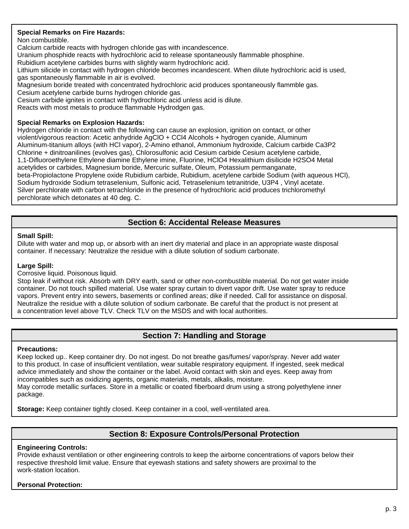# **Special Remarks on Fire Hazards:**

Non combustible.

Calcium carbide reacts with hydrogen chloride gas with incandescence.

Uranium phosphide reacts with hydrochloric acid to release spontaneously flammable phosphine.

Rubidium acetylene carbides burns with slightly warm hydrochloric acid.

Lithium silicide in contact with hydrogen chloride becomes incandescent. When dilute hydrochloric acid is used, gas spontaneously flammable in air is evolved.

Magnesium boride treated with concentrated hydrochloric acid produces spontaneously flammble gas.

Cesium acetylene carbide burns hydrogen chloride gas.

Cesium carbide ignites in contact with hydrochloric acid unless acid is dilute.

Reacts with most metals to produce flammable Hydrodgen gas.

# **Special Remarks on Explosion Hazards:**

Hydrogen chloride in contact with the following can cause an explosion, ignition on contact, or other violent/vigorous reaction: Acetic anhydride AgClO + CCl4 Alcohols + hydrogen cyanide, Aluminum Aluminum-titanium alloys (with HCl vapor), 2-Amino ethanol, Ammonium hydroxide, Calcium carbide Ca3P2 Chlorine + dinitroanilines (evolves gas), Chlorosulfonic acid Cesium carbide Cesium acetylene carbide, 1,1-Difluoroethylene Ethylene diamine Ethylene imine, Fluorine, HClO4 Hexalithium disilicide H2SO4 Metal acetylides or carbides, Magnesium boride, Mercuric sulfate, Oleum, Potassium permanganate, beta-Propiolactone Propylene oxide Rubidium carbide, Rubidium, acetylene carbide Sodium (with aqueous HCl), Sodium hydroxide Sodium tetraselenium, Sulfonic acid, Tetraselenium tetranitride, U3P4 , Vinyl acetate. Silver perchlorate with carbon tetrachloride in the presence of hydrochloric acid produces trichloromethyl perchlorate which detonates at 40 deg. C.

# **Section 6: Accidental Release Measures**

#### **Small Spill:**

Dilute with water and mop up, or absorb with an inert dry material and place in an appropriate waste disposal container. If necessary: Neutralize the residue with a dilute solution of sodium carbonate.

## **Large Spill:**

Corrosive liquid. Poisonous liquid.

Stop leak if without risk. Absorb with DRY earth, sand or other non-combustible material. Do not get water inside container. Do not touch spilled material. Use water spray curtain to divert vapor drift. Use water spray to reduce vapors. Prevent entry into sewers, basements or confined areas; dike if needed. Call for assistance on disposal. Neutralize the residue with a dilute solution of sodium carbonate. Be careful that the product is not present at a concentration level above TLV. Check TLV on the MSDS and with local authorities.

# **Section 7: Handling and Storage**

## **Precautions:**

Keep locked up.. Keep container dry. Do not ingest. Do not breathe gas/fumes/ vapor/spray. Never add water to this product. In case of insufficient ventilation, wear suitable respiratory equipment. If ingested, seek medical advice immediately and show the container or the label. Avoid contact with skin and eyes. Keep away from incompatibles such as oxidizing agents, organic materials, metals, alkalis, moisture. May corrode metallic surfaces. Store in a metallic or coated fiberboard drum using a strong polyethylene inner package.

**Storage:** Keep container tightly closed. Keep container in a cool, well-ventilated area.

# **Section 8: Exposure Controls/Personal Protection**

## **Engineering Controls:**

Provide exhaust ventilation or other engineering controls to keep the airborne concentrations of vapors below their respective threshold limit value. Ensure that eyewash stations and safety showers are proximal to the work-station location.

## **Personal Protection:**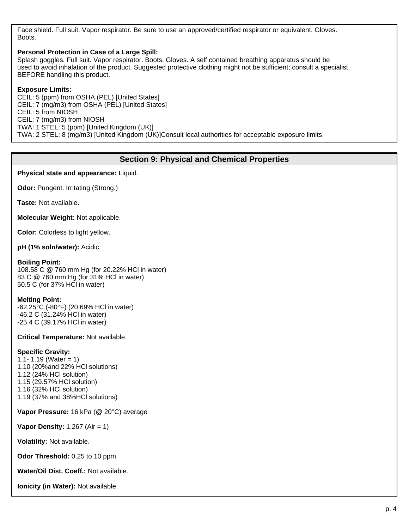Face shield. Full suit. Vapor respirator. Be sure to use an approved/certified respirator or equivalent. Gloves. Boots.

#### **Personal Protection in Case of a Large Spill:**

Splash goggles. Full suit. Vapor respirator. Boots. Gloves. A self contained breathing apparatus should be used to avoid inhalation of the product. Suggested protective clothing might not be sufficient; consult a specialist BEFORE handling this product.

#### **Exposure Limits:**

CEIL: 5 (ppm) from OSHA (PEL) [United States] CEIL: 7 (mg/m3) from OSHA (PEL) [United States] CEIL: 5 from NIOSH CEIL: 7 (mg/m3) from NIOSH TWA: 1 STEL: 5 (ppm) [United Kingdom (UK)] TWA: 2 STEL: 8 (mg/m3) [United Kingdom (UK)]Consult local authorities for acceptable exposure limits.

# **Section 9: Physical and Chemical Properties**

**Physical state and appearance:** Liquid.

**Odor:** Pungent. Irritating (Strong.)

**Taste:** Not available.

**Molecular Weight:** Not applicable.

**Color:** Colorless to light yellow.

**pH (1% soln/water):** Acidic.

#### **Boiling Point:**

108.58 C @ 760 mm Hg (for 20.22% HCl in water) 83 C @ 760 mm Hg (for 31% HCl in water) 50.5 C (for 37% HCl in water)

## **Melting Point:**

-62.25°C (-80°F) (20.69% HCl in water) -46.2 C (31.24% HCl in water) -25.4 C (39.17% HCl in water)

**Critical Temperature:** Not available.

## **Specific Gravity:**

1.1- 1.19 (Water = 1) 1.10 (20%and 22% HCl solutions) 1.12 (24% HCl solution) 1.15 (29.57% HCl solution) 1.16 (32% HCl solution) 1.19 (37% and 38%HCl solutions)

**Vapor Pressure:** 16 kPa (@ 20°C) average

**Vapor Density:** 1.267 (Air = 1)

**Volatility:** Not available.

**Odor Threshold:** 0.25 to 10 ppm

**Water/Oil Dist. Coeff.:** Not available.

**Ionicity (in Water):** Not available.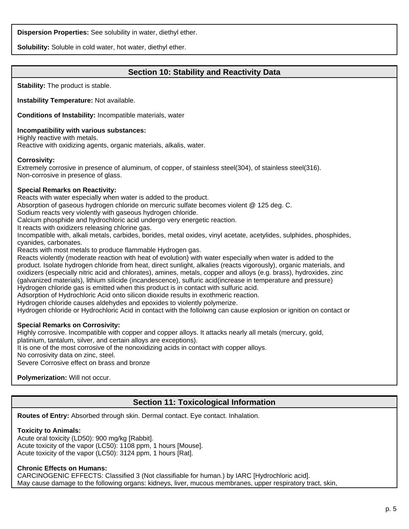**Dispersion Properties:** See solubility in water, diethyl ether.

**Solubility:** Soluble in cold water, hot water, diethyl ether.

# **Section 10: Stability and Reactivity Data**

**Stability:** The product is stable.

**Instability Temperature:** Not available.

**Conditions of Instability:** Incompatible materials, water

## **Incompatibility with various substances:**

Highly reactive with metals. Reactive with oxidizing agents, organic materials, alkalis, water.

#### **Corrosivity:**

Extremely corrosive in presence of aluminum, of copper, of stainless steel(304), of stainless steel(316). Non-corrosive in presence of glass.

## **Special Remarks on Reactivity:**

Reacts with water especially when water is added to the product.

Absorption of gaseous hydrogen chloride on mercuric sulfate becomes violent @ 125 deg. C.

Sodium reacts very violently with gaseous hydrogen chloride.

Calcium phosphide and hydrochloric acid undergo very energetic reaction.

It reacts with oxidizers releasing chlorine gas.

Incompatible with, alkali metals, carbides, borides, metal oxides, vinyl acetate, acetylides, sulphides, phosphides, cyanides, carbonates.

Reacts with most metals to produce flammable Hydrogen gas.

Reacts violently (moderate reaction with heat of evolution) with water especially when water is added to the product. Isolate hydrogen chloride from heat, direct sunlight, alkalies (reacts vigorously), organic materials, and oxidizers (especially nitric acid and chlorates), amines, metals, copper and alloys (e.g. brass), hydroxides, zinc (galvanized materials), lithium silicide (incandescence), sulfuric acid(increase in temperature and pressure) Hydrogen chloride gas is emitted when this product is in contact with sulfuric acid.

Adsorption of Hydrochloric Acid onto silicon dioxide results in exothmeric reaction.

Hydrogen chloride causes aldehydes and epoxides to violently polymerize.

Hydrogen chloride or Hydrochloric Acid in contact with the folloiwng can cause explosion or ignition on contact or

## **Special Remarks on Corrosivity:**

Highly corrosive. Incompatible with copper and copper alloys. It attacks nearly all metals (mercury, gold, platinium, tantalum, silver, and certain alloys are exceptions).

It is one of the most corrosive of the nonoxidizing acids in contact with copper alloys.

No corrosivity data on zinc, steel.

Severe Corrosive effect on brass and bronze

**Polymerization:** Will not occur.

# **Section 11: Toxicological Information**

**Routes of Entry:** Absorbed through skin. Dermal contact. Eye contact. Inhalation.

## **Toxicity to Animals:**

Acute oral toxicity (LD50): 900 mg/kg [Rabbit]. Acute toxicity of the vapor (LC50): 1108 ppm, 1 hours [Mouse]. Acute toxicity of the vapor (LC50): 3124 ppm, 1 hours [Rat].

## **Chronic Effects on Humans:**

CARCINOGENIC EFFECTS: Classified 3 (Not classifiable for human.) by IARC [Hydrochloric acid]. May cause damage to the following organs: kidneys, liver, mucous membranes, upper respiratory tract, skin,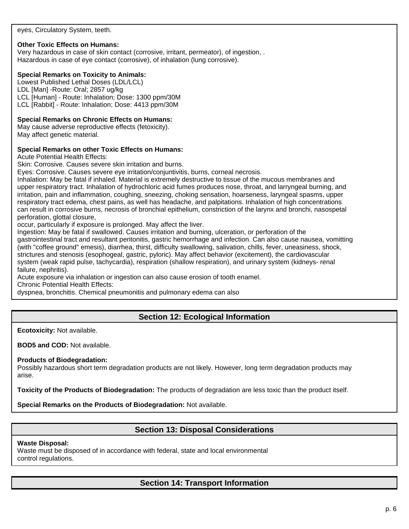eyes, Circulatory System, teeth.

## **Other Toxic Effects on Humans:**

Very hazardous in case of skin contact (corrosive, irritant, permeator), of ingestion, . Hazardous in case of eye contact (corrosive), of inhalation (lung corrosive).

#### **Special Remarks on Toxicity to Animals:**

Lowest Published Lethal Doses (LDL/LCL) LDL [Man] -Route: Oral; 2857 ug/kg LCL [Human] - Route: Inhalation; Dose: 1300 ppm/30M LCL [Rabbit] - Route: Inhalation; Dose: 4413 ppm/30M

#### **Special Remarks on Chronic Effects on Humans:**

May cause adverse reproductive effects (fetoxicity). May affect genetic material.

#### **Special Remarks on other Toxic Effects on Humans:**

Acute Potential Health Effects:

Skin: Corrosive. Causes severe skin irritation and burns.

Eyes: Corrosive. Causes severe eye irritation/conjuntivitis, burns, corneal necrosis.

Inhalation: May be fatal if inhaled. Material is extremely destructive to tissue of the mucous membranes and upper respiratory tract. Inhalation of hydrochloric acid fumes produces nose, throat, and larryngeal burning, and irritation, pain and inflammation, coughing, sneezing, choking sensation, hoarseness, laryngeal spasms, upper respiratory tract edema, chest pains, as well has headache, and palpitations. Inhalation of high concentrations can result in corrosive burns, necrosis of bronchial epithelium, constriction of the larynx and bronchi, nasospetal perforation, glottal closure,

occur, particularly if exposure is prolonged. May affect the liver.

Ingestion: May be fatal if swallowed. Causes irritation and burning, ulceration, or perforation of the gastrointestinal tract and resultant peritonitis, gastric hemorrhage and infection. Can also cause nausea, vomitting (with "coffee ground" emesis), diarrhea, thirst, difficulty swallowing, salivation, chills, fever, uneasiness, shock, strictures and stenosis (esophogeal, gastric, pyloric). May affect behavior (excitement), the cardiovascular system (weak rapid pulse, tachycardia), respiration (shallow respiration), and urinary system (kidneys- renal failure, nephritis).

Acute exposure via inhalation or ingestion can also cause erosion of tooth enamel.

Chronic Potential Health Effects:

dyspnea, bronchitis. Chemical pneumonitis and pulmonary edema can also

# **Section 12: Ecological Information**

**Ecotoxicity:** Not available.

**BOD5 and COD:** Not available.

#### **Products of Biodegradation:**

Possibly hazardous short term degradation products are not likely. However, long term degradation products may arise.

**Toxicity of the Products of Biodegradation:** The products of degradation are less toxic than the product itself.

**Special Remarks on the Products of Biodegradation:** Not available.

# **Section 13: Disposal Considerations**

#### **Waste Disposal:**

Waste must be disposed of in accordance with federal, state and local environmental control regulations.

# **Section 14: Transport Information**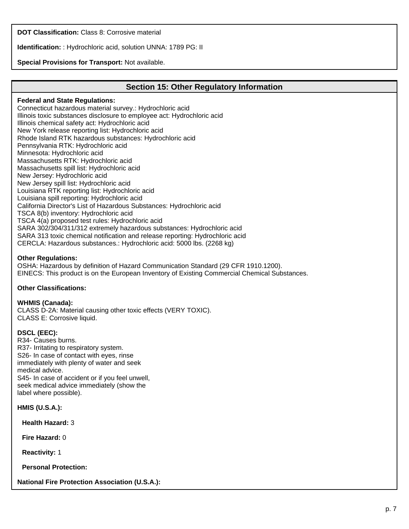**DOT Classification:** Class 8: Corrosive material

**Identification:** : Hydrochloric acid, solution UNNA: 1789 PG: II

## **Special Provisions for Transport:** Not available.

## **Section 15: Other Regulatory Information**

#### **Federal and State Regulations:**

Connecticut hazardous material survey.: Hydrochloric acid Illinois toxic substances disclosure to employee act: Hydrochloric acid Illinois chemical safety act: Hydrochloric acid New York release reporting list: Hydrochloric acid Rhode Island RTK hazardous substances: Hydrochloric acid Pennsylvania RTK: Hydrochloric acid Minnesota: Hydrochloric acid Massachusetts RTK: Hydrochloric acid Massachusetts spill list: Hydrochloric acid New Jersey: Hydrochloric acid New Jersey spill list: Hydrochloric acid Louisiana RTK reporting list: Hydrochloric acid Louisiana spill reporting: Hydrochloric acid California Director's List of Hazardous Substances: Hydrochloric acid TSCA 8(b) inventory: Hydrochloric acid TSCA 4(a) proposed test rules: Hydrochloric acid SARA 302/304/311/312 extremely hazardous substances: Hydrochloric acid SARA 313 toxic chemical notification and release reporting: Hydrochloric acid CERCLA: Hazardous substances.: Hydrochloric acid: 5000 lbs. (2268 kg)

#### **Other Regulations:**

OSHA: Hazardous by definition of Hazard Communication Standard (29 CFR 1910.1200). EINECS: This product is on the European Inventory of Existing Commercial Chemical Substances.

#### **Other Classifications:**

#### **WHMIS (Canada):**

CLASS D-2A: Material causing other toxic effects (VERY TOXIC). CLASS E: Corrosive liquid.

#### **DSCL (EEC):**

R34- Causes burns. R37- Irritating to respiratory system. S26- In case of contact with eyes, rinse immediately with plenty of water and seek medical advice. S45- In case of accident or if you feel unwell, seek medical advice immediately (show the label where possible).

**HMIS (U.S.A.):**

**Health Hazard:** 3

**Fire Hazard:** 0

**Reactivity:** 1

**Personal Protection:**

**National Fire Protection Association (U.S.A.):**